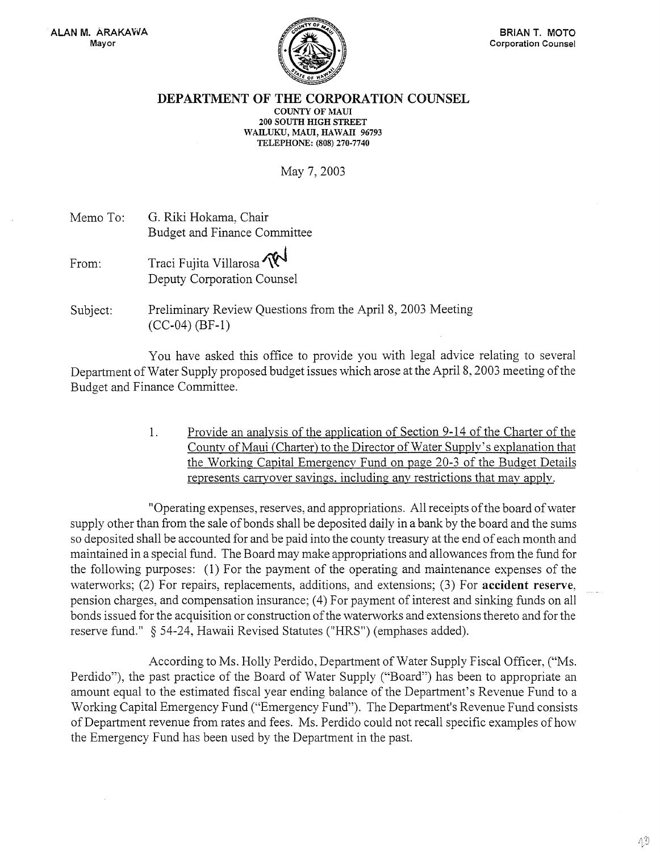

## DEPARTMENT OF THE CORPORATION COUNSEL COUNTY OF MAUI 200 SOUTH HIGH STREET WAILUKU, MAUl, HAWAII 96793 TELEPHONE: (808) 270-7740

## May 7, 2003

Memo To: From: G. Riki Hokama, Chair Budget and Finance Committee Traci Fujita Villarosa ~ Deputy Corporation Counsel

Subject: Preliminary Review Questions from the April 8, 2003 Meeting (CC-04) (BF-1)

You have asked this office to provide you with legal advice relating to several Department of Water Supply proposed budget issues which arose at the April 8, 2003 meeting of the Budget and Finance Committee.

> 1. Provide an analvsis of the application of Section 9-14 of the Charter of the County of Maui (Charter) to the Director of Water Supply's explanation that the Working Capital Emergency Fund on page 20-3 of the Budget Details represents carryover savings, including any restrictions that may apply.

"Operating expenses, reserves, and appropriations. All receipts of the board of water supply other than from the sale of bonds shall be deposited daily in a bank by the board and the sums so deposited shall be accounted for and be paid into the county treasury at the end of each month and maintained in a special fund. The Board may make appropriations and allowances from the fund for the following purposes: (1) For the payment of the operating and maintenance expenses of the waterworks; (2) For repairs, replacements, additions, and extensions; (3) For accident reserve, pension charges, and compensation insurance; (4) For payment of interest and sinking funds on all bonds issued for the acquisition or construction of the watenvorks and extensions thereto and for the reserve fund." § 54-24, Hawaii Revised Statutes ("HRS") (emphases added).

According to Ms. Holly Perdido, Department of Water Supply Fiscal Officer, ("Ms. Perdido"), the past practice of the Board of Water Supply ("Board") has been to appropriate an amount equal to the estimated fiscal year ending balance of the Department's Revenue Fund to a Working Capital Emergency Fund ("Emergency Fund"). The Department's Revenue Fund consists of Department revenue from rates and fees. Ms. Perdido could not recall specific examples of how the Emergency Fund has been used by the Department in the past.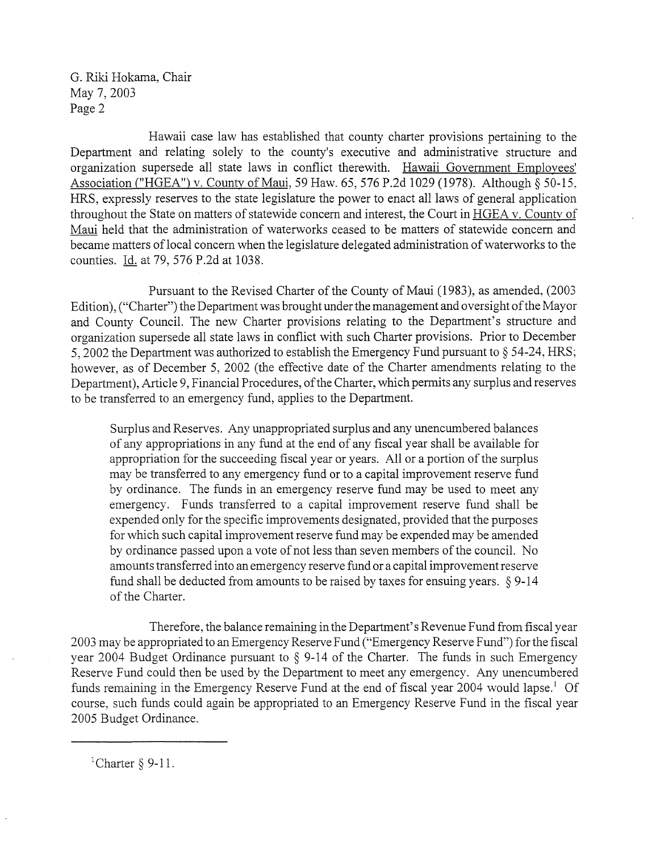Hawaii case law has established that county charter provisions pertaining to the Department and relating solely to the county's executive and administrative structure and organization supersede all state laws in conflict therewith. Hawaii Government Emplovees' Association ("HGEA") v. County of Maui, 59 Haw. 65, 576 P.2d 1029 (1978). Although § 50-15, HRS, expressly reserves to the state legislature the power to enact all laws of general application throughout the State on matters of statewide concern and interest, the Court in HGEA v. County of Maui held that the administration of waterworks ceased to be matters of statewide concern and became matters of local concern when the legislature delegated administration of waterworks to the counties. Id. at 79,576 P.2d at 1038.

Pursuant to the Revised Charter of the County of Maui (1983), as amended, (2003) Edition), ("Charter") the Department was brought under the management and oversight of the Mayor and County Council. The new Charter provisions relating to the Department's structure and organization supersede all state laws in conflict with such Charter provisions. Prior to December 5,2002 the Department was authorized to establish the Emergency Fund pursuant to § 54-24, HRS; however, as of December 5, 2002 (the effective date of the Charter amendments relating to the Department), Article 9, Financial Procedures, of the Charter, which permits any surplus and reserves to be transferred to an emergency fund, applies to the Department.

Surplus and Reserves. Any unappropriated surplus and any unencumbered balances of any appropriations in any fund at the end of any fiscal year shall be available for appropriation for the succeeding fiscal year or years. Allor a portion of the surplus may be transferred to any emergency fund or to a capital improvement reserve fund by ordinance. The funds in an emergency reserve fund may be used to meet any emergency. Funds transferred to a capital improvement reserve fund shall be expended only for the specific improvements designated, provided that the purposes for which such capital improvement reserve fund may be expended may be amended by ordinance passed upon a vote of not less than seven members of the council. No amounts transferred into an emergency reserve fund or a capital improvement reserve fund shall be deducted from amounts to be raised by taxes for ensuing years. § 9-14 of the Charter.

Therefore, the balance remaining in the Department's Revenue Fund from fiscal year 2003 may be appropriated to an Emergency Reserve Fund ("Emergency Reserve Fund") for the fiscal year 2004 Budget Ordinance pursuant to § 9-14 of the Charter. The funds in such Emergency Reserve Fund could then be used by the Department to meet any emergency. Any unencumbered funds remaining in the Emergency Reserve Fund at the end of fiscal year 2004 would lapse.<sup>1</sup> Of course, such funds could again be appropriated to an Emergency Reserve Fund in the fiscal year 2005 Budget Ordinance.

<sup>1</sup>Charter  $\S$  9-11.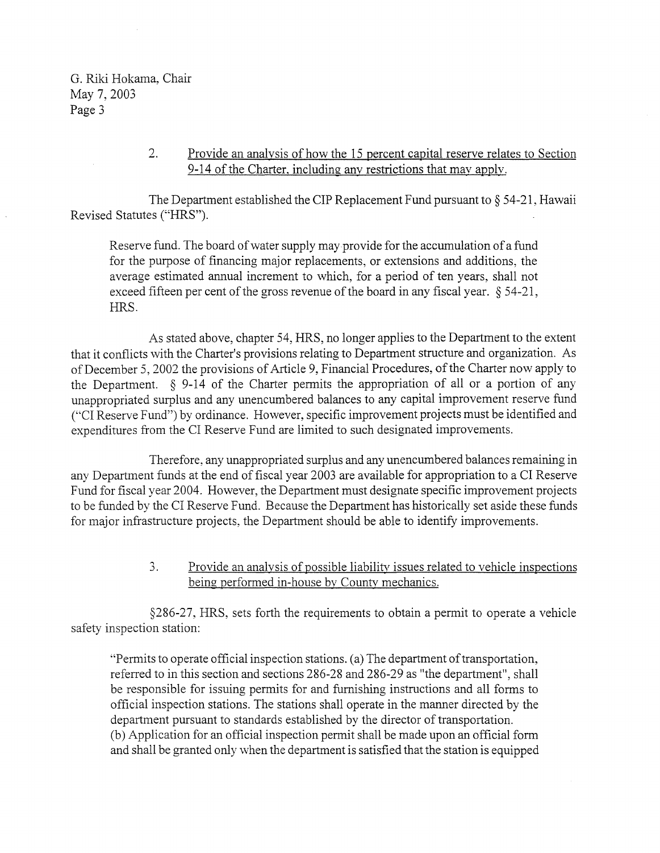## 2. Provide an analvsis of how the 15 percent capital reserve relates to Section 9-14 of the Charter, including any restrictions that may apply.

The Department established the ClP Replacement Fund pursuant to § 54-21, Hawaii Revised Statutes ("HRS").

Reserve fund. The board of water supply may provide for the accumulation of a fund for the purpose of financing major replacements, or extensions and additions, the average estimated annual increment to which, for a period of ten years, shall not exceed fifteen per cent of the gross revenue of the board in any fiscal year. § 54-21, HRS.

As stated above, chapter 54, HRS, no longer applies to the Department to the extent that it conflicts with the Charter's provisions relating to Department structure and organization. As of December 5, 2002 the provisions of Article 9, Financial Procedures, of the Charter now apply to the Department.  $\S$  9-14 of the Charter permits the appropriation of all or a portion of any unappropriated surplus and any unencumbered balances to any capital improvement reserve fund ("Cl Reserve Fund") by ordinance. However, specific improvement projects must be identified and expenditures from the Cl Reserve Fund are limited to such designated improvements.

Therefore, any unappropriated surplus and any unencumbered balances remaining in any Department funds at the end of fiscal year 2003 are available for appropriation to a Cl Reserve Fund for fiscal year 2004. However, the Department must designate specific improvement projects to be funded by the Cl Reserve Fund. Because the Department has historically set aside these funds for major infrastructure projects, the Department should be able to identify improvements.

## 3. Provide an analvsis of possible liability issues related to vehicle inspections being performed in-house by County mechanics.

§286-27, HRS, sets forth the requirements to obtain a permit to operate a vehicle safety inspection station:

"Permits to operate official inspection stations. (a) The department of transportation, referred to in this section and sections 286-28 and 286-29 as "the department", shall be responsible for issuing permits for and furnishing instructions and all forms to official inspection stations. The stations shall operate in the manner directed by the department pursuant to standards established by the director of transportation. (b) Application for an official inspection permit shall be made upon an official form and shall be granted only when the department is satisfied that the station is equipped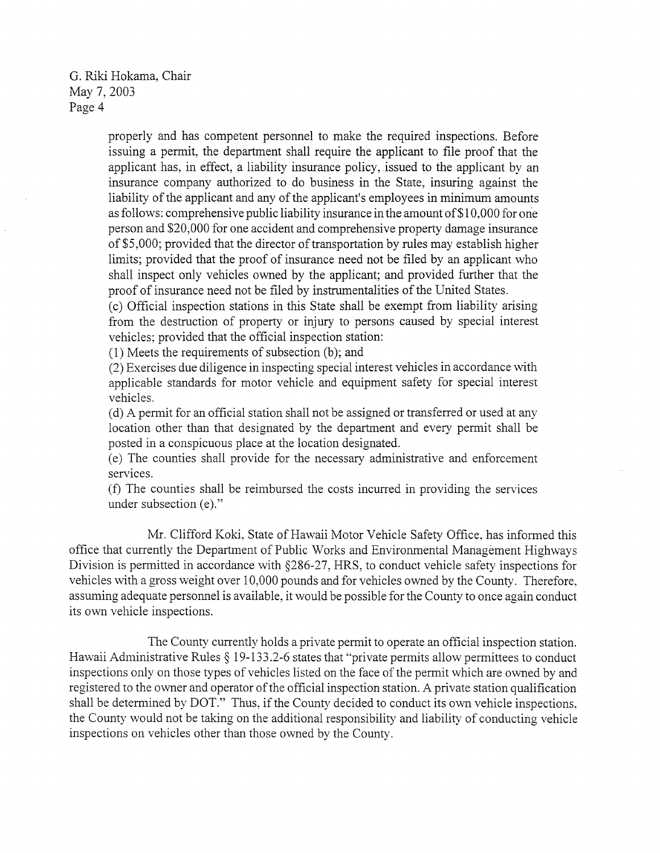> properly and has competent personnel to make the required inspections. Before issuing a permit, the department shall require the applicant to file proof that the applicant has, in effect, a liability insurance policy, issued to the applicant by an insurance company authorized to do business in the State, insuring against the liability of the applicant and any of the applicant's employees in minimum amounts as follows: comprehensive public liability insurance in the amount of\$1 0,000 for one person and \$20,000 for one accident and comprehensive property damage insurance of\$5,000; provided that the director of transportation by rules may establish higher limits; provided that the proof of insurance need not be filed by an applicant who shall inspect only vehicles owned by the applicant; and provided further that the proof of insurance need not be filed by instrumentalities of the United States.

> (c) Official inspection stations in this State shall be exempt from liability arising from the destruction of property or injury to persons caused by special interest vehicles; provided that the official inspection station:

(1) Meets the requirements of subsection (b); and

(2) Exercises due diligence in inspecting special interest vehicles in accordance with applicable standards for motor vehicle and equipment safety for special interest vehicles.

(d) A permit for an official station shall not be assigned or transferred or used at any location other than that designated by the department and every permit shall be posted in a conspicuous place at the location designated.

(e) The counties shall provide for the necessary administrative and enforcement services.

(f) The counties shall be reimbursed the costs incurred in providing the services under subsection (e)."

Mr. Clifford Koki, State of Hawaii Motor Vehicle Safety Office. has informed this office that currently the Department of Public Works and Environmental Management Highways Division is permitted in accordance with §286-27, HRS, to conduct vehicle safety inspections for vehicles with a gross weight over 10,000 pounds and for vehicles owned by the County. Therefore, assuming adequate personnel is available, it would be possible for the County to once again conduct its own vehicle inspections.

The County currently holds a private permit to operate an official inspection station. Hawaii Administrative Rules  $\S$  19-133.2-6 states that "private permits allow permittees to conduct inspections only on those types of vehicles listed on the face of the permit which are owned by and registered to the owner and operator of the official inspection station. A private station qualification shall be determined by DOT." Thus, if the County decided to conduct its own vehicle inspections, the County would not be taking on the additional responsibility and liability of conducting vehicle inspections on vehicles other than those owned by the County.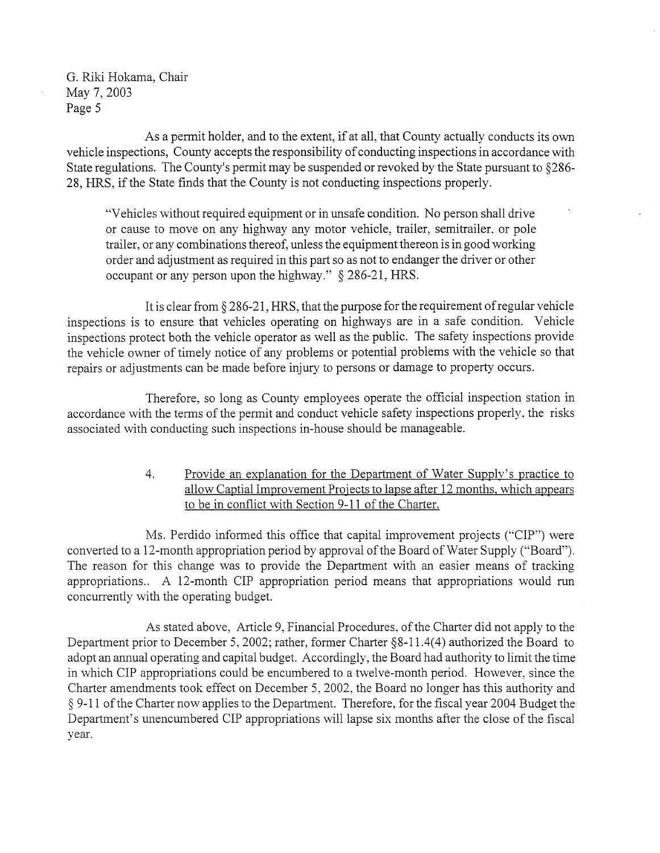As a permit holder, and to the extent, if at all, that County actually conducts its own vehicle inspections, County accepts the responsibility of conducting inspections in accordance with State regulations. The County's permit may be suspended or revoked by the State pursuant to §286- 28, HRS, if the State finds that the County is not conducting inspections properly.

"Vehicles without required equipment or in unsafe condition. No person shall drive or cause to move on any highway any motor vehicle, trailer, semitrailer. or pole trailer, or any combinations thereof, unless the equipment thereon is in good working order and adjustment as required in this part so as not to endanger the driver or other occupant or any person upon the highway." § 286-21, HRS.

It is clear from § 286-21, HRS, that the purpose for the requirement of regular vehicle inspections is to ensure that vehicles operating on highways are in a safe condition. Vehicle inspections protect both the vehicle operator as well as the public. The safety inspections provide the vehicle owner of timely notice of any problems or potential problems with the vehicle so that repairs or adjustments can be made before injury to persons or damage to property occurs.

Therefore, so long as County employees operate the official inspection station in accordance with the terms of the permit and conduct vehicle safety inspections properly, the risks associated with conducting such inspections in-house should be manageable.

> 4. Provide an explanation for the Department of Water Supplv's practice to allow Captial Improvement Projects to lapse after 12 months. which appears to be in conflict with Section 9-11 of the Charter.

Ms. Perdido informed this office that capital improvement projects ("CIP") were converted to a 12-month appropriation period by approval of the Board of Water Supply ("Board"). The reason for this change was to provide the Department with an easier means of tracking appropriations.. A 12-month CIP appropriation period means that appropriations would run concurrently with the operating budget.

As stated above, Article 9, Financial Procedures, of the Charter did not apply to the Department prior to December 5, 2002; rather, former Charter §8-11.4(4) authorized the Board to adopt an annual operating and capital budget. Accordingly, the Board had authority to limit the time in which CIP appropriations could be encumbered to a twelve-month period. However, since the Charter amendments took effect on December 5, 2002, the Board no longer has this authority and § 9-11 of the Charter now applies to the Department. Therefore, for the fiscal year 2004 Budget the Department's unencumbered CIP appropriations will lapse six months after the close of the fiscal year.